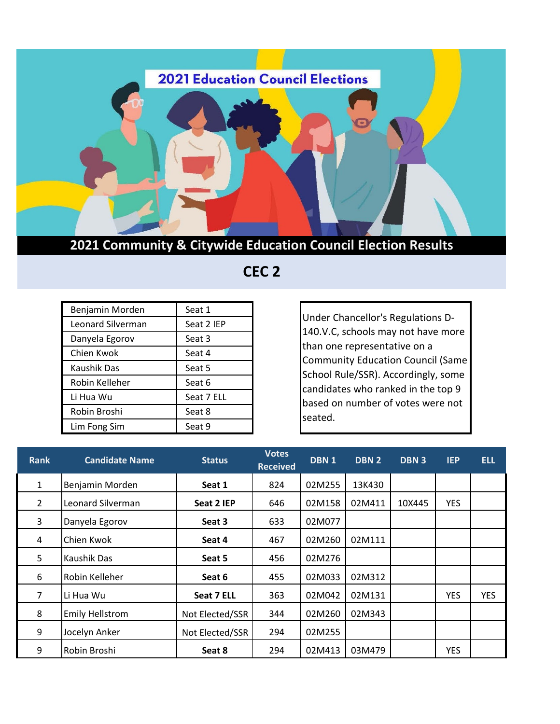

**2021 Community & Citywide Education Council Election Results**

 **CEC 2** 

| Benjamin Morden   | Seat 1     |
|-------------------|------------|
| Leonard Silverman | Seat 2 IEP |
| Danyela Egorov    | Seat 3     |
| Chien Kwok        | Seat 4     |
| Kaushik Das       | Seat 5     |
| Robin Kelleher    | Seat 6     |
| Li Hua Wu         | Seat 7 ELL |
| Robin Broshi      | Seat 8     |
| Lim Fong Sim      | Seat 9     |

Under Chancellor's Regulations D-140.V.C, schools may not have more than one representative on a Community Education Council (Same School Rule/SSR). Accordingly, some candidates who ranked in the top 9 based on number of votes were not seated.

| <b>Rank</b>    | <b>Candidate Name</b>  | <b>Status</b>   | <b>Votes</b><br><b>Received</b> | DBN <sub>1</sub> | DBN <sub>2</sub> | <b>DBN3</b> | <b>IEP</b> | <b>ELL</b> |
|----------------|------------------------|-----------------|---------------------------------|------------------|------------------|-------------|------------|------------|
| 1              | Benjamin Morden        | Seat 1          | 824                             | 02M255           | 13K430           |             |            |            |
| $\overline{2}$ | Leonard Silverman      | Seat 2 IEP      | 646                             | 02M158           | 02M411           | 10X445      | <b>YES</b> |            |
| 3              | Danyela Egorov         | Seat 3          | 633                             | 02M077           |                  |             |            |            |
| 4              | Chien Kwok             | Seat 4          | 467                             | 02M260           | 02M111           |             |            |            |
| 5              | Kaushik Das            | Seat 5          | 456                             | 02M276           |                  |             |            |            |
| 6              | Robin Kelleher         | Seat 6          | 455                             | 02M033           | 02M312           |             |            |            |
| 7              | Li Hua Wu              | Seat 7 ELL      | 363                             | 02M042           | 02M131           |             | <b>YES</b> | <b>YES</b> |
| 8              | <b>Emily Hellstrom</b> | Not Elected/SSR | 344                             | 02M260           | 02M343           |             |            |            |
| 9              | Jocelyn Anker          | Not Elected/SSR | 294                             | 02M255           |                  |             |            |            |
| 9              | Robin Broshi           | Seat 8          | 294                             | 02M413           | 03M479           |             | <b>YES</b> |            |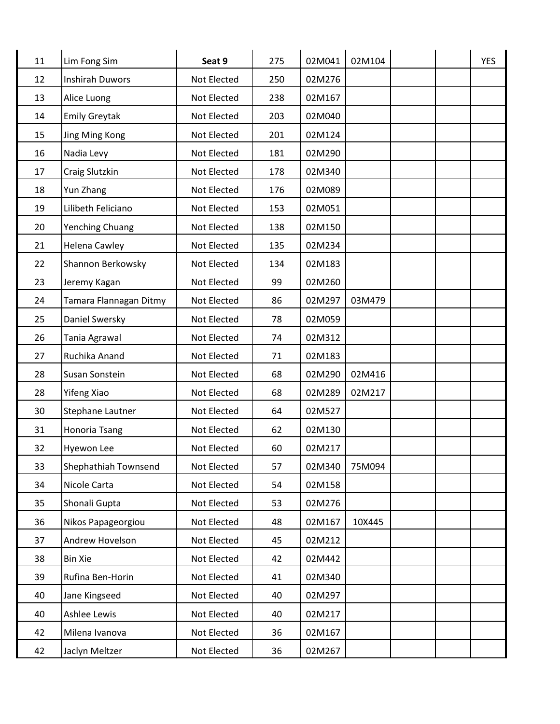| 11 | Lim Fong Sim           | Seat 9      | 275 | 02M041 | 02M104 |  | <b>YES</b> |
|----|------------------------|-------------|-----|--------|--------|--|------------|
| 12 | <b>Inshirah Duwors</b> | Not Elected | 250 | 02M276 |        |  |            |
| 13 | Alice Luong            | Not Elected | 238 | 02M167 |        |  |            |
| 14 | <b>Emily Greytak</b>   | Not Elected | 203 | 02M040 |        |  |            |
| 15 | Jing Ming Kong         | Not Elected | 201 | 02M124 |        |  |            |
| 16 | Nadia Levy             | Not Elected | 181 | 02M290 |        |  |            |
| 17 | Craig Slutzkin         | Not Elected | 178 | 02M340 |        |  |            |
| 18 | Yun Zhang              | Not Elected | 176 | 02M089 |        |  |            |
| 19 | Lilibeth Feliciano     | Not Elected | 153 | 02M051 |        |  |            |
| 20 | <b>Yenching Chuang</b> | Not Elected | 138 | 02M150 |        |  |            |
| 21 | <b>Helena Cawley</b>   | Not Elected | 135 | 02M234 |        |  |            |
| 22 | Shannon Berkowsky      | Not Elected | 134 | 02M183 |        |  |            |
| 23 | Jeremy Kagan           | Not Elected | 99  | 02M260 |        |  |            |
| 24 | Tamara Flannagan Ditmy | Not Elected | 86  | 02M297 | 03M479 |  |            |
| 25 | Daniel Swersky         | Not Elected | 78  | 02M059 |        |  |            |
| 26 | Tania Agrawal          | Not Elected | 74  | 02M312 |        |  |            |
| 27 | Ruchika Anand          | Not Elected | 71  | 02M183 |        |  |            |
| 28 | Susan Sonstein         | Not Elected | 68  | 02M290 | 02M416 |  |            |
| 28 | Yifeng Xiao            | Not Elected | 68  | 02M289 | 02M217 |  |            |
| 30 | Stephane Lautner       | Not Elected | 64  | 02M527 |        |  |            |
| 31 | Honoria Tsang          | Not Elected | 62  | 02M130 |        |  |            |
| 32 | Hyewon Lee             | Not Elected | 60  | 02M217 |        |  |            |
| 33 | Shephathiah Townsend   | Not Elected | 57  | 02M340 | 75M094 |  |            |
| 34 | Nicole Carta           | Not Elected | 54  | 02M158 |        |  |            |
| 35 | Shonali Gupta          | Not Elected | 53  | 02M276 |        |  |            |
| 36 | Nikos Papageorgiou     | Not Elected | 48  | 02M167 | 10X445 |  |            |
| 37 | Andrew Hovelson        | Not Elected | 45  | 02M212 |        |  |            |
| 38 | <b>Bin Xie</b>         | Not Elected | 42  | 02M442 |        |  |            |
| 39 | Rufina Ben-Horin       | Not Elected | 41  | 02M340 |        |  |            |
| 40 | Jane Kingseed          | Not Elected | 40  | 02M297 |        |  |            |
| 40 | Ashlee Lewis           | Not Elected | 40  | 02M217 |        |  |            |
| 42 | Milena Ivanova         | Not Elected | 36  | 02M167 |        |  |            |
| 42 | Jaclyn Meltzer         | Not Elected | 36  | 02M267 |        |  |            |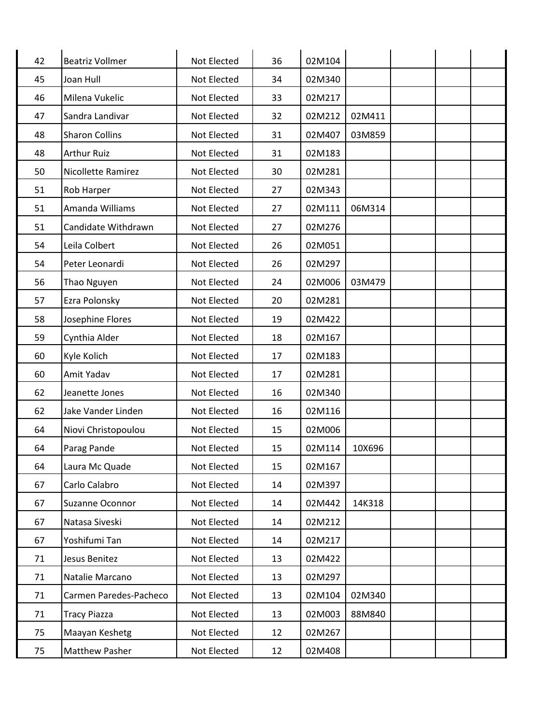| 42 | <b>Beatriz Vollmer</b>    | Not Elected | 36 | 02M104 |        |  |  |
|----|---------------------------|-------------|----|--------|--------|--|--|
| 45 | Joan Hull                 | Not Elected | 34 | 02M340 |        |  |  |
| 46 | Milena Vukelic            | Not Elected | 33 | 02M217 |        |  |  |
| 47 | Sandra Landivar           | Not Elected | 32 | 02M212 | 02M411 |  |  |
| 48 | <b>Sharon Collins</b>     | Not Elected | 31 | 02M407 | 03M859 |  |  |
| 48 | <b>Arthur Ruiz</b>        | Not Elected | 31 | 02M183 |        |  |  |
| 50 | <b>Nicollette Ramirez</b> | Not Elected | 30 | 02M281 |        |  |  |
| 51 | <b>Rob Harper</b>         | Not Elected | 27 | 02M343 |        |  |  |
| 51 | Amanda Williams           | Not Elected | 27 | 02M111 | 06M314 |  |  |
| 51 | Candidate Withdrawn       | Not Elected | 27 | 02M276 |        |  |  |
| 54 | Leila Colbert             | Not Elected | 26 | 02M051 |        |  |  |
| 54 | Peter Leonardi            | Not Elected | 26 | 02M297 |        |  |  |
| 56 | Thao Nguyen               | Not Elected | 24 | 02M006 | 03M479 |  |  |
| 57 | Ezra Polonsky             | Not Elected | 20 | 02M281 |        |  |  |
| 58 | Josephine Flores          | Not Elected | 19 | 02M422 |        |  |  |
| 59 | Cynthia Alder             | Not Elected | 18 | 02M167 |        |  |  |
| 60 | Kyle Kolich               | Not Elected | 17 | 02M183 |        |  |  |
| 60 | Amit Yadav                | Not Elected | 17 | 02M281 |        |  |  |
| 62 | Jeanette Jones            | Not Elected | 16 | 02M340 |        |  |  |
| 62 | Jake Vander Linden        | Not Elected | 16 | 02M116 |        |  |  |
| 64 | Niovi Christopoulou       | Not Elected | 15 | 02M006 |        |  |  |
| 64 | Parag Pande               | Not Elected | 15 | 02M114 | 10X696 |  |  |
| 64 | Laura Mc Quade            | Not Elected | 15 | 02M167 |        |  |  |
| 67 | Carlo Calabro             | Not Elected | 14 | 02M397 |        |  |  |
| 67 | Suzanne Oconnor           | Not Elected | 14 | 02M442 | 14K318 |  |  |
| 67 | Natasa Siveski            | Not Elected | 14 | 02M212 |        |  |  |
| 67 | Yoshifumi Tan             | Not Elected | 14 | 02M217 |        |  |  |
| 71 | Jesus Benitez             | Not Elected | 13 | 02M422 |        |  |  |
| 71 | Natalie Marcano           | Not Elected | 13 | 02M297 |        |  |  |
| 71 | Carmen Paredes-Pacheco    | Not Elected | 13 | 02M104 | 02M340 |  |  |
| 71 | <b>Tracy Piazza</b>       | Not Elected | 13 | 02M003 | 88M840 |  |  |
| 75 | Maayan Keshetg            | Not Elected | 12 | 02M267 |        |  |  |
| 75 | <b>Matthew Pasher</b>     | Not Elected | 12 | 02M408 |        |  |  |